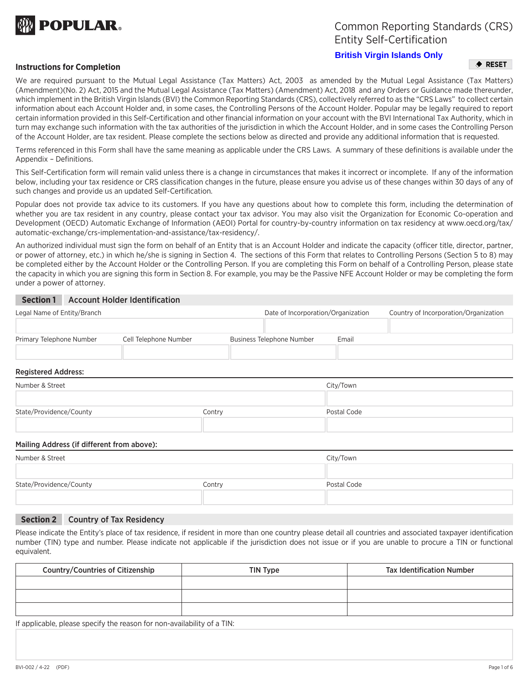

# Common Reporting Standards (CRS) Entity Self-Certification

## **British Virgin Islands Only**

#### **RESET**

#### **Instructions for Completion**

We are required pursuant to the Mutual Legal Assistance (Tax Matters) Act, 2003 as amended by the Mutual Legal Assistance (Tax Matters) (Amendment)(No. 2) Act, 2015 and the Mutual Legal Assistance (Tax Matters) (Amendment) Act, 2018 and any Orders or Guidance made thereunder, which implement in the British Virgin Islands (BVI) the Common Reporting Standards (CRS), collectively referred to as the "CRS Laws" to collect certain information about each Account Holder and, in some cases, the Controlling Persons of the Account Holder. Popular may be legally required to report certain information provided in this Self-Certification and other financial information on your account with the BVI International Tax Authority, which in turn may exchange such information with the tax authorities of the jurisdiction in which the Account Holder, and in some cases the Controlling Person of the Account Holder, are tax resident. Please complete the sections below as directed and provide any additional information that is requested.

Terms referenced in this Form shall have the same meaning as applicable under the CRS Laws. A summary of these definitions is available under the Appendix – Definitions.

This Self-Certification form will remain valid unless there is a change in circumstances that makes it incorrect or incomplete. If any of the information below, including your tax residence or CRS classification changes in the future, please ensure you advise us of these changes within 30 days of any of such changes and provide us an updated Self-Certification.

Popular does not provide tax advice to its customers. If you have any questions about how to complete this form, including the determination of whether you are tax resident in any country, please contact your tax advisor. You may also visit the Organization for Economic Co-operation and Development (OECD) Automatic Exchange of Information (AEOI) Portal for country-by-country information on tax residency at www.oecd.org/tax/ automatic-exchange/crs-implementation-and-assistance/tax-residency/.

An authorized individual must sign the form on behalf of an Entity that is an Account Holder and indicate the capacity (officer title, director, partner, or power of attorney, etc.) in which he/she is signing in Section 4. The sections of this Form that relates to Controlling Persons (Section 5 to 8) may be completed either by the Account Holder or the Controlling Person. If you are completing this Form on behalf of a Controlling Person, please state the capacity in which you are signing this form in Section 8. For example, you may be the Passive NFE Account Holder or may be completing the form under a power of attorney.

#### **Section 1** Account Holder Identification

| Legal Name of Entity/Branch |                       | Date of Incorporation/Organization |                           | Country of Incorporation/Organization |  |
|-----------------------------|-----------------------|------------------------------------|---------------------------|---------------------------------------|--|
|                             |                       |                                    |                           |                                       |  |
| Primary Telephone Number    | Cell Telephone Number |                                    | Business Telephone Number | Email                                 |  |
|                             |                       |                                    |                           |                                       |  |

## Registered Address:

| Number & Street         |        | City/Town   |
|-------------------------|--------|-------------|
|                         |        |             |
| State/Providence/County | Contry | Postal Code |
|                         |        |             |

#### Mailing Address (if different from above):

| Number & Street         |        | City/Town   |
|-------------------------|--------|-------------|
|                         |        |             |
| State/Providence/County | Contry | Postal Code |
|                         |        |             |

#### **Section 2** Country of Tax Residency

Please indicate the Entity's place of tax residence, if resident in more than one country please detail all countries and associated taxpayer identification number (TIN) type and number. Please indicate not applicable if the jurisdiction does not issue or if you are unable to procure a TIN or functional equivalent.

| <b>Country/Countries of Citizenship</b> | TIN Type | <b>Tax Identification Number</b> |
|-----------------------------------------|----------|----------------------------------|
|                                         |          |                                  |
|                                         |          |                                  |
|                                         |          |                                  |

If applicable, please specify the reason for non-availability of a TIN: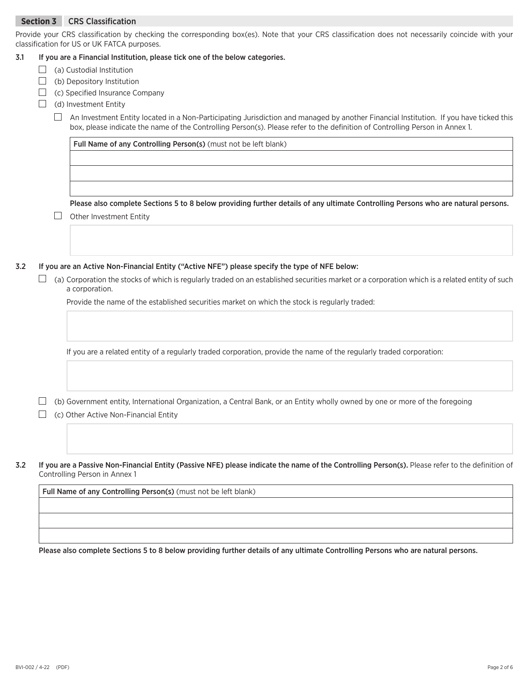#### **Section 3** CRS Classification

Provide your CRS classification by checking the corresponding box(es). Note that your CRS classification does not necessarily coincide with your classification for US or UK FATCA purposes.

## 3.1 If you are a Financial Institution, please tick one of the below categories.

- $\Box$  (a) Custodial Institution
- $\Box$  (b) Depository Institution
- $\Box$  (c) Specified Insurance Company
- $\Box$  (d) Investment Entity
	- $\Box$  An Investment Entity located in a Non-Participating Jurisdiction and managed by another Financial Institution. If you have ticked this box, please indicate the name of the Controlling Person(s). Please refer to the definition of Controlling Person in Annex 1.

Full Name of any Controlling Person(s) (must not be left blank)

Please also complete Sections 5 to 8 below providing further details of any ultimate Controlling Persons who are natural persons.

 $\Box$  Other Investment Entity

## 3.2 If you are an Active Non-Financial Entity ("Active NFE") please specify the type of NFE below:

 $\Box$  (a) Corporation the stocks of which is regularly traded on an established securities market or a corporation which is a related entity of such a corporation.

Provide the name of the established securities market on which the stock is regularly traded:

If you are a related entity of a regularly traded corporation, provide the name of the regularly traded corporation:

 $\Box$  (b) Government entity, International Organization, a Central Bank, or an Entity wholly owned by one or more of the foregoing

- $\Box$  (c) Other Active Non-Financial Entity
- 3.2 If you are a Passive Non-Financial Entity (Passive NFE) please indicate the name of the Controlling Person(s). Please refer to the definition of Controlling Person in Annex 1

Full Name of any Controlling Person(s) (must not be left blank)

Please also complete Sections 5 to 8 below providing further details of any ultimate Controlling Persons who are natural persons.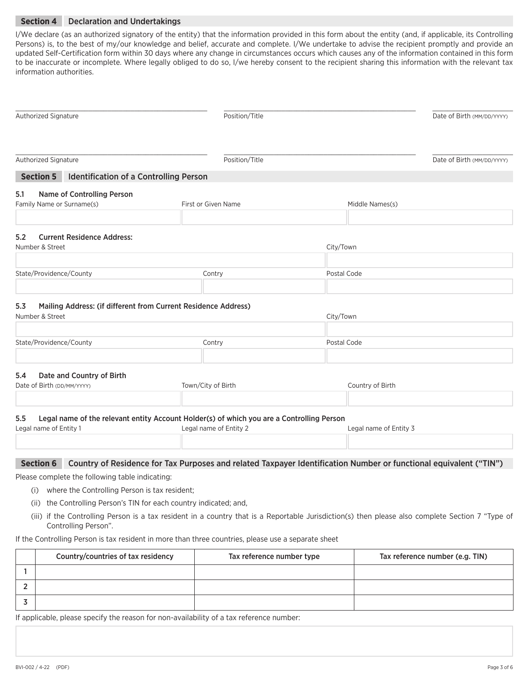#### **Section 4** Declaration and Undertakings

I/We declare (as an authorized signatory of the entity) that the information provided in this form about the entity (and, if applicable, its Controlling Persons) is, to the best of my/our knowledge and belief, accurate and complete. I/We undertake to advise the recipient promptly and provide an updated Self-Certification form within 30 days where any change in circumstances occurs which causes any of the information contained in this form to be inaccurate or incomplete. Where legally obliged to do so, I/we hereby consent to the recipient sharing this information with the relevant tax information authorities.

| Authorized Signature<br>Position/Title                                                                                                                                                                                                         | Date of Birth (MM/DD/YYYY) |  |
|------------------------------------------------------------------------------------------------------------------------------------------------------------------------------------------------------------------------------------------------|----------------------------|--|
| Position/Title<br>Authorized Signature                                                                                                                                                                                                         | Date of Birth (MM/DD/YYYY) |  |
| <b>Section 5</b>                                                                                                                                                                                                                               |                            |  |
| Identification of a Controlling Person                                                                                                                                                                                                         |                            |  |
| Name of Controlling Person<br>5.1                                                                                                                                                                                                              |                            |  |
| Family Name or Surname(s)<br>First or Given Name                                                                                                                                                                                               | Middle Names(s)            |  |
| <b>Current Residence Address:</b><br>5.2<br>Number & Street<br>City/Town                                                                                                                                                                       |                            |  |
|                                                                                                                                                                                                                                                |                            |  |
| State/Providence/County<br>Postal Code<br>Contry                                                                                                                                                                                               |                            |  |
|                                                                                                                                                                                                                                                |                            |  |
| Mailing Address: (if different from Current Residence Address)<br>5.3<br>Number & Street<br>City/Town                                                                                                                                          |                            |  |
| State/Providence/County<br>Postal Code<br>Contry                                                                                                                                                                                               |                            |  |
|                                                                                                                                                                                                                                                |                            |  |
| Date and Country of Birth<br>5.4                                                                                                                                                                                                               |                            |  |
| Date of Birth (DD/MM/YYYY)<br>Town/City of Birth<br>Country of Birth                                                                                                                                                                           |                            |  |
|                                                                                                                                                                                                                                                |                            |  |
| Legal name of the relevant entity Account Holder(s) of which you are a Controlling Person<br>5.5<br>Legal name of Entity 1<br>Legal name of Entity 2<br>Legal name of Entity 3                                                                 |                            |  |
|                                                                                                                                                                                                                                                |                            |  |
| Country of Residence for Tax Purposes and related Taxpayer Identification Number or functional equivalent ("TIN")<br><b>Section 6</b>                                                                                                          |                            |  |
| Please complete the following table indicating:                                                                                                                                                                                                |                            |  |
|                                                                                                                                                                                                                                                |                            |  |
|                                                                                                                                                                                                                                                |                            |  |
| (i) where the Controlling Person is tax resident;                                                                                                                                                                                              |                            |  |
| (ii) the Controlling Person's TIN for each country indicated; and,<br>(iii) if the Controlling Person is a tax resident in a country that is a Reportable Jurisdiction(s) then please also complete Section 7 "Type of<br>Controlling Person". |                            |  |
|                                                                                                                                                                                                                                                |                            |  |
| If the Controlling Person is tax resident in more than three countries, please use a separate sheet                                                                                                                                            |                            |  |
| Country/countries of tax residency<br>Tax reference number type<br>Tax reference number (e.g. TIN)<br>1                                                                                                                                        |                            |  |

If applicable, please specify the reason for non-availability of a tax reference number:

3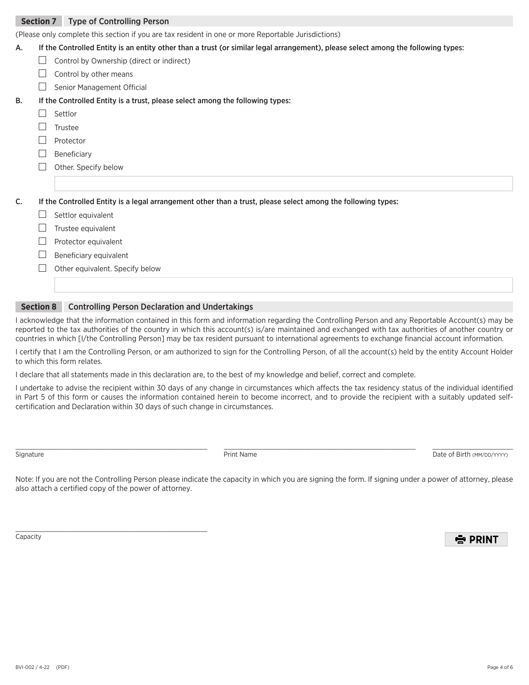**Section 7** Type of Controlling Person

(Please only complete this section if you are tax resident in one or more Reportable Jurisdictions)

- A. If the Controlled Entity is an entity other than a trust (or similar legal arrangement), please select among the following types:
	- $\Box$  Control by Ownership (direct or indirect)
	- $\Box$  Control by other means
	- $\Box$  Senior Management Official

#### B. If the Controlled Entity is a trust, please select among the following types:

- $\Box$  Settlor
- $\Box$  Trustee
- □ Protector
- $\Box$  Beneficiary
- $\Box$  Other. Specify below

C. If the Controlled Entity is a legal arrangement other than a trust, please select among the following types:

- $\Box$  Settlor equivalent
- $\Box$  Trustee equivalent
- $\Box$  Protector equivalent
- $\Box$  Beneficiary equivalent
- $\Box$  Other equivalent. Specify below

\_\_\_\_\_\_\_\_\_\_\_\_\_\_\_\_\_\_\_\_\_\_\_\_\_\_\_\_\_\_\_\_\_\_\_\_\_\_\_\_\_\_\_\_\_\_\_\_\_\_

#### **Section 8** Controlling Person Declaration and Undertakings

I acknowledge that the information contained in this form and information regarding the Controlling Person and any Reportable Account(s) may be reported to the tax authorities of the country in which this account(s) is/are maintained and exchanged with tax authorities of another country or countries in which [I/the Controlling Person] may be tax resident pursuant to international agreements to exchange financial account information.

I certify that I am the Controlling Person, or am authorized to sign for the Controlling Person, of all the account(s) held by the entity Account Holder to which this form relates.

I declare that all statements made in this declaration are, to the best of my knowledge and belief, correct and complete.

I undertake to advise the recipient within 30 days of any change in circumstances which affects the tax residency status of the individual identified in Part 5 of this form or causes the information contained herein to become incorrect, and to provide the recipient with a suitably updated selfcertification and Declaration within 30 days of such change in circumstances.

Signature **Example 20 The Signature Print Name** Print Name **Print Name** Print Name **Date of Birth (MM/DD/YYYY**)

Note: If you are not the Controlling Person please indicate the capacity in which you are signing the form. If signing under a power of attorney, please also attach a certified copy of the power of attorney.

\_\_\_\_\_\_\_\_\_\_\_\_\_\_\_\_\_\_\_\_\_\_\_\_\_\_\_\_\_\_\_\_\_\_\_\_\_\_\_\_\_\_\_\_\_\_\_\_\_\_ \_\_\_\_\_\_\_\_\_\_\_\_\_\_\_\_\_\_\_\_\_\_\_\_\_\_\_\_\_\_\_\_\_\_\_\_\_\_\_\_\_\_\_\_\_\_\_\_\_\_ \_\_\_\_\_\_\_\_\_\_\_\_\_\_\_\_\_\_\_\_\_

**Capacity** 

슬 PRINT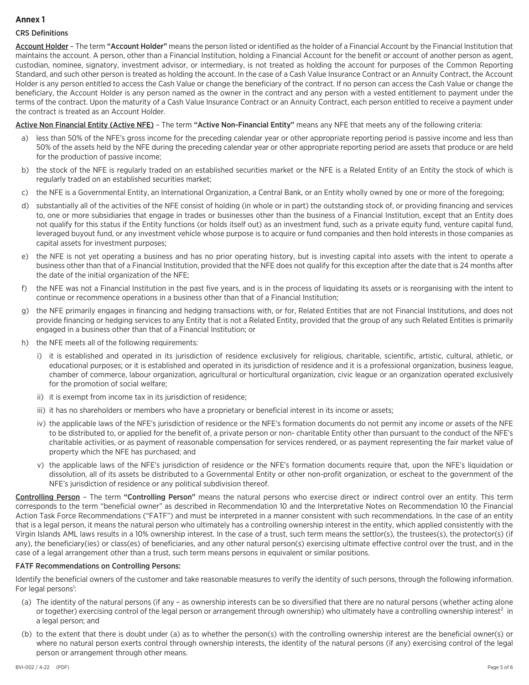## **Annex 1**

## CRS Definitions

Account Holder - The term "Account Holder" means the person listed or identified as the holder of a Financial Account by the Financial Institution that maintains the account. A person, other than a Financial Institution, holding a Financial Account for the benefit or account of another person as agent, custodian, nominee, signatory, investment advisor, or intermediary, is not treated as holding the account for purposes of the Common Reporting Standard, and such other person is treated as holding the account. In the case of a Cash Value Insurance Contract or an Annuity Contract, the Account Holder is any person entitled to access the Cash Value or change the beneficiary of the contract. If no person can access the Cash Value or change the beneficiary, the Account Holder is any person named as the owner in the contract and any person with a vested entitlement to payment under the terms of the contract. Upon the maturity of a Cash Value Insurance Contract or an Annuity Contract, each person entitled to receive a payment under the contract is treated as an Account Holder.

#### Active Non Financial Entity (Active NFE) - The term "Active Non-Financial Entity" means any NFE that meets any of the following criteria:

- a) less than 50% of the NFE's gross income for the preceding calendar year or other appropriate reporting period is passive income and less than 50% of the assets held by the NFE during the preceding calendar year or other appropriate reporting period are assets that produce or are held for the production of passive income;
- b) the stock of the NFE is regularly traded on an established securities market or the NFE is a Related Entity of an Entity the stock of which is regularly traded on an established securities market;
- c) the NFE is a Governmental Entity, an International Organization, a Central Bank, or an Entity wholly owned by one or more of the foregoing;
- d) substantially all of the activities of the NFE consist of holding (in whole or in part) the outstanding stock of, or providing financing and services to, one or more subsidiaries that engage in trades or businesses other than the business of a Financial Institution, except that an Entity does not qualify for this status if the Entity functions (or holds itself out) as an investment fund, such as a private equity fund, venture capital fund, leveraged buyout fund, or any investment vehicle whose purpose is to acquire or fund companies and then hold interests in those companies as capital assets for investment purposes;
- e) the NFE is not yet operating a business and has no prior operating history, but is investing capital into assets with the intent to operate a business other than that of a Financial Institution, provided that the NFE does not qualify for this exception after the date that is 24 months after the date of the initial organization of the NFE;
- f) the NFE was not a Financial Institution in the past five years, and is in the process of liquidating its assets or is reorganising with the intent to continue or recommence operations in a business other than that of a Financial Institution;
- g) the NFE primarily engages in financing and hedging transactions with, or for, Related Entities that are not Financial Institutions, and does not provide financing or hedging services to any Entity that is not a Related Entity, provided that the group of any such Related Entities is primarily engaged in a business other than that of a Financial Institution; or
- h) the NFE meets all of the following requirements:
	- i) it is established and operated in its jurisdiction of residence exclusively for religious, charitable, scientific, artistic, cultural, athletic, or educational purposes; or it is established and operated in its jurisdiction of residence and it is a professional organization, business league, chamber of commerce, labour organization, agricultural or horticultural organization, civic league or an organization operated exclusively for the promotion of social welfare;
	- ii) it is exempt from income tax in its jurisdiction of residence;
	- iii) it has no shareholders or members who have a proprietary or beneficial interest in its income or assets;
	- iv) the applicable laws of the NFE's jurisdiction of residence or the NFE's formation documents do not permit any income or assets of the NFE to be distributed to, or applied for the benefit of, a private person or non- charitable Entity other than pursuant to the conduct of the NFE's charitable activities, or as payment of reasonable compensation for services rendered, or as payment representing the fair market value of property which the NFE has purchased; and
	- v) the applicable laws of the NFE's jurisdiction of residence or the NFE's formation documents require that, upon the NFE's liquidation or dissolution, all of its assets be distributed to a Governmental Entity or other non-profit organization, or escheat to the government of the NFE's jurisdiction of residence or any political subdivision thereof.

Controlling Person - The term "Controlling Person" means the natural persons who exercise direct or indirect control over an entity. This term corresponds to the term "beneficial owner" as described in Recommendation 10 and the Interpretative Notes on Recommendation 10 the Financial Action Task Force Recommendations ("FATF") and must be interpreted in a manner consistent with such recommendations. In the case of an entity that is a legal person, it means the natural person who ultimately has a controlling ownership interest in the entity, which applied consistently with the Virgin Islands AML laws results in a 10% ownership interest. In the case of a trust, such term means the settlor(s), the trustees(s), the protector(s) (if any), the beneficiary(ies) or class(es) of beneficiaries, and any other natural person(s) exercising ultimate effective control over the trust, and in the case of a legal arrangement other than a trust, such term means persons in equivalent or similar positions.

## FATF Recommendations on Controlling Persons:

Identify the beneficial owners of the customer and take reasonable measures to verify the identity of such persons, through the following information. For legal persons<sup>1</sup>:

- (a) The identity of the natural persons (if any as ownership interests can be so diversified that there are no natural persons (whether acting alone or together) exercising control of the legal person or arrangement through ownership) who ultimately have a controlling ownership interest<sup>2</sup> in a legal person; and
- (b) to the extent that there is doubt under (a) as to whether the person(s) with the controlling ownership interest are the beneficial owner(s) or where no natural person exerts control through ownership interests, the identity of the natural persons (if any) exercising control of the legal person or arrangement through other means.